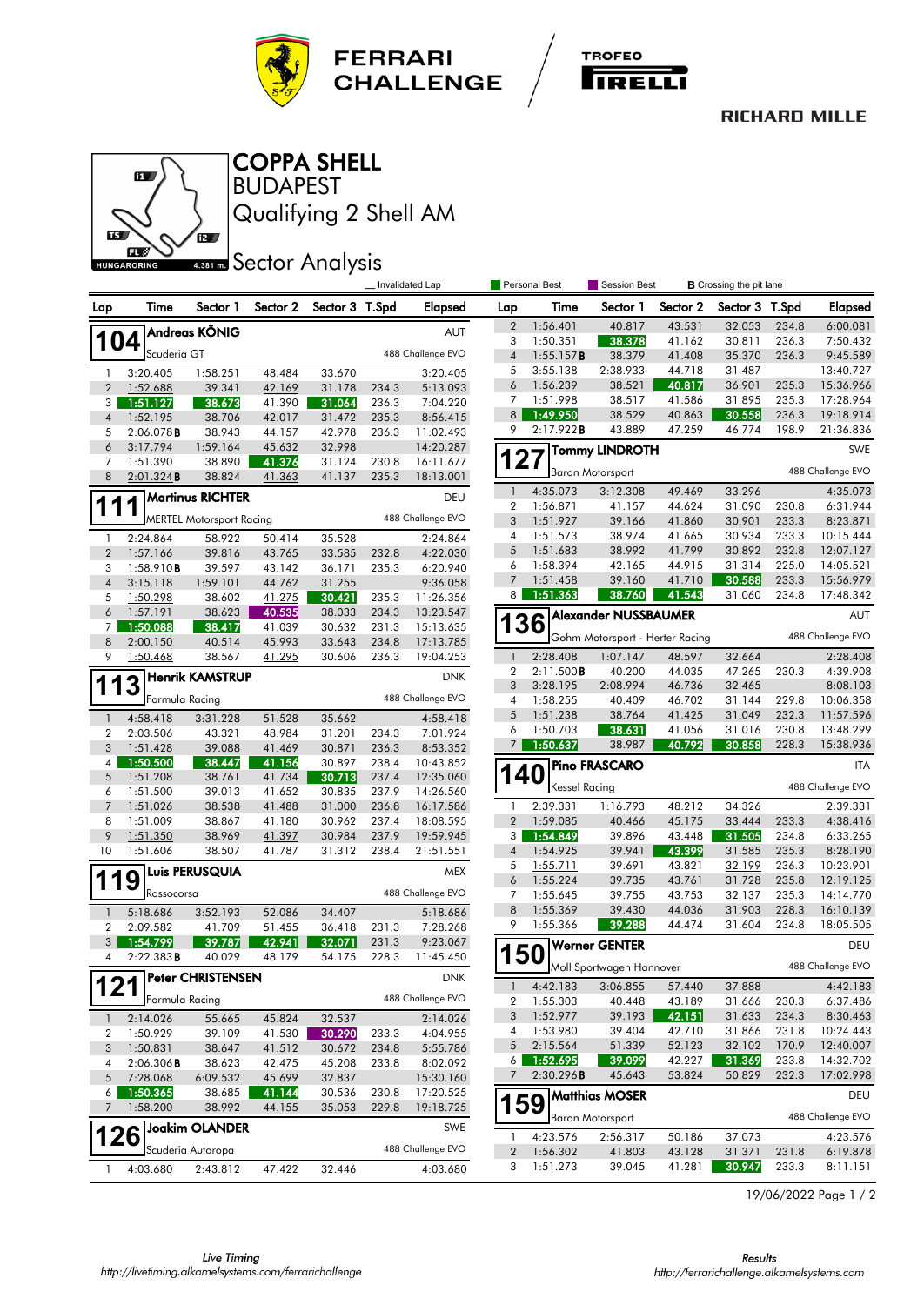



## **RICHARD MILLE**



BUDAPEST COPPA SHELL

Qualifying 2 Shell AM

## **ABB1 mm** Sector Analysis

|                         |                       |                                 |                  |                  |                | Invalidated Lap        |                  | Personal Best<br>Session Best<br><b>B</b> Crossing the pit lane |                                 |                  |                  |                |                        |
|-------------------------|-----------------------|---------------------------------|------------------|------------------|----------------|------------------------|------------------|-----------------------------------------------------------------|---------------------------------|------------------|------------------|----------------|------------------------|
| Lap                     | Time                  | Sector 1                        | Sector 2         | Sector 3 T.Spd   |                | Elapsed                | Lap              | Time                                                            | Sector 1                        | Sector 2         | Sector 3 T.Spd   |                | <b>Elapsed</b>         |
|                         |                       | Andreas KÖNIG                   |                  |                  |                | AUT                    | $\boldsymbol{2}$ | 1:56.401                                                        | 40.817                          | 43.531           | 32.053           | 234.8          | 6:00.081               |
| 104                     |                       |                                 |                  |                  |                |                        | 3                | 1:50.351                                                        | 38.378                          | 41.162           | 30.811           | 236.3          | 7:50.432               |
|                         | Scuderia GT           |                                 |                  |                  |                | 488 Challenge EVO      | $\overline{4}$   | 1:55.157B                                                       | 38.379                          | 41.408           | 35.370           | 236.3          | 9:45.589               |
| $\mathbf{1}$            | 3:20.405              | 1:58.251                        | 48.484           | 33.670           |                | 3:20.405               | 5                | 3:55.138                                                        | 2:38.933                        | 44.718           | 31.487           |                | 13:40.727              |
| $\boldsymbol{2}$        | 1:52.688              | 39.341                          | 42.169           | 31.178           | 234.3          | 5:13.093               | 6                | 1:56.239                                                        | 38.521                          | 40.817           | 36.901           | 235.3          | 15:36.966              |
| 3 <sup>1</sup>          | 1:51.127              | 38.673                          | 41.390           | 31.064           | 236.3          | 7:04.220               | 7<br>8           | 1:51.998<br>1:49.950                                            | 38.517<br>38.529                | 41.586<br>40.863 | 31.895<br>30.558 | 235.3<br>236.3 | 17:28.964<br>19:18.914 |
| $\overline{4}$          | 1:52.195              | 38.706                          | 42.017           | 31.472           | 235.3          | 8:56.415               | 9                | 2:17.922B                                                       | 43.889                          | 47.259           | 46.774           | 198.9          | 21:36.836              |
| 5<br>6                  | 2:06.078B<br>3:17.794 | 38.943<br>1:59.164              | 44.157<br>45.632 | 42.978<br>32.998 | 236.3          | 11:02.493<br>14:20.287 |                  |                                                                 |                                 |                  |                  |                |                        |
| 7                       | 1:51.390              | 38.890                          | 41.376           | 31.124           | 230.8          | 16:11.677              |                  | 27                                                              | <b>Tommy LINDROTH</b>           |                  |                  |                | SWE                    |
| 8                       | $2:01.324$ B          | 38.824                          | 41.363           | 41.137           | 235.3          | 18:13.001              |                  |                                                                 | <b>Baron Motorsport</b>         |                  |                  |                | 488 Challenge EVO      |
| <b>Martinus RICHTER</b> |                       |                                 |                  |                  |                | DEU                    | $\mathbf{1}$     | 4:35.073                                                        | 3:12.308                        | 49.469           | 33.296           |                | 4:35.073               |
| 1                       |                       |                                 |                  |                  |                |                        | $\boldsymbol{2}$ | 1:56.871                                                        | 41.157                          | 44.624           | 31.090           | 230.8          | 6:31.944               |
|                         |                       | <b>MERTEL Motorsport Racing</b> |                  |                  |                | 488 Challenge EVO      | 3                | 1:51.927                                                        | 39.166                          | 41.860           | 30.901           | 233.3          | 8:23.871               |
| $\mathbf{1}$            | 2:24.864              | 58.922                          | 50.414           | 35.528           |                | 2:24.864               | 4                | 1:51.573                                                        | 38.974                          | 41.665           | 30.934           | 233.3          | 10:15.444              |
| $\overline{2}$          | 1:57.166              | 39.816                          | 43.765           | 33.585           | 232.8          | 4:22.030               | 5                | 1:51.683                                                        | 38.992                          | 41.799           | 30.892           | 232.8          | 12:07.127              |
| 3                       | 1:58.910B             | 39.597                          | 43.142           | 36.171           | 235.3          | 6:20.940               | 6                | 1:58.394                                                        | 42.165                          | 44.915           | 31.314           | 225.0          | 14:05.521              |
| $\sqrt{4}$              | 3:15.118              | 1:59.101                        | 44.762           | 31.255           |                | 9:36.058               | 7                | 1:51.458                                                        | 39.160                          | 41.710           | 30.588           | 233.3          | 15:56.979              |
| 5                       | 1:50.298              | 38.602                          | 41.275           | 30.421           | 235.3          | 11:26.356              | 8                | 1:51.363                                                        | 38.760                          | 41.543           | 31.060           | 234.8          | 17:48.342              |
| 6                       | 1:57.191              | 38.623                          | 40.535           | 38.033           | 234.3          | 13:23.547              |                  | 36                                                              | <b>Alexander NUSSBAUMER</b>     |                  |                  |                | AUT                    |
| $7^{\circ}$<br>8        | 1:50.088              | 38.417                          | 41.039<br>45.993 | 30.632           | 231.3          | 15:13.635              |                  |                                                                 | Gohm Motorsport - Herter Racing |                  |                  |                | 488 Challenge EVO      |
| 9                       | 2:00.150<br>1:50.468  | 40.514<br>38.567                | 41.295           | 33.643<br>30.606 | 234.8<br>236.3 | 17:13.785<br>19:04.253 | $\mathbf{1}$     | 2:28.408                                                        | 1:07.147                        | 48.597           | 32.664           |                | 2:28.408               |
|                         |                       |                                 |                  |                  |                |                        | $\boldsymbol{2}$ | 2:11.500B                                                       | 40.200                          | 44.035           | 47.265           | 230.3          | 4:39.908               |
| 113                     |                       | <b>Henrik KAMSTRUP</b>          |                  |                  |                | <b>DNK</b>             | 3                | 3:28.195                                                        | 2:08.994                        | 46.736           | 32.465           |                | 8:08.103               |
|                         | Formula Racing        |                                 |                  |                  |                | 488 Challenge EVO      | 4                | 1:58.255                                                        | 40.409                          | 46.702           | 31.144           | 229.8          | 10:06.358              |
| $\mathbf{1}$            | 4:58.418              | 3:31.228                        | 51.528           | 35.662           |                | 4:58.418               | 5                | 1:51.238                                                        | 38.764                          | 41.425           | 31.049           | 232.3          | 11:57.596              |
| $\overline{2}$          | 2:03.506              | 43.321                          | 48.984           | 31.201           | 234.3          | 7:01.924               | 6                | 1:50.703                                                        | 38.631                          | 41.056           | 31.016           | 230.8          | 13:48.299              |
| 3                       | 1:51.428              | 39.088                          | 41.469           | 30.871           | 236.3          | 8:53.352               | 7                | 1:50.637                                                        | 38.987                          | 40.792           | 30.858           | 228.3          | 15:38.936              |
| 4                       | 1:50.500              | 38.447                          | 41.156           | 30.897           | 238.4          | 10:43.852              |                  |                                                                 | <b>Pino FRASCARO</b>            |                  |                  |                | <b>ITA</b>             |
| 5                       | 1:51.208              | 38.761                          | 41.734           | 30.713           | 237.4          | 12:35.060              |                  | 40                                                              |                                 |                  |                  |                |                        |
| 6                       | 1:51.500              | 39.013                          | 41.652           | 30.835           | 237.9          | 14:26.560              |                  | Kessel Racing                                                   |                                 |                  |                  |                | 488 Challenge EVO      |
| $\overline{7}$          | 1:51.026              | 38.538                          | 41.488           | 31.000           | 236.8          | 16:17.586              | 1                | 2:39.331                                                        | 1:16.793                        | 48.212           | 34.326           |                | 2:39.331               |
| 8                       | 1:51.009              | 38.867                          | 41.180           | 30.962           | 237.4          | 18:08.595              | $\overline{2}$   | 1:59.085                                                        | 40.466                          | 45.175           | 33.444           | 233.3          | 4:38.416               |
| 9<br>10                 | 1:51.350              | 38.969<br>38.507                | 41.397<br>41.787 | 30.984<br>31.312 | 237.9          | 19:59.945              | 3                | 1:54.849<br>1:54.925                                            | 39.896<br>39.941                | 43.448           | 31.505<br>31.585 | 234.8<br>235.3 | 6:33.265<br>8:28.190   |
|                         | 1:51.606              |                                 |                  |                  | 238.4          | 21:51.551              | 4<br>5           | 1:55.711                                                        | 39.691                          | 43.399<br>43.821 | 32.199           | 236.3          | 10:23.901              |
| 119                     |                       | <b>Luis PERUSQUIA</b>           |                  |                  |                | <b>MEX</b>             | 6                | 1:55.224                                                        | 39.735                          | 43.761           | 31.728           | 235.8          | 12:19.125              |
|                         | Rossocorsa            |                                 |                  |                  |                | 488 Challenge EVO      | 7                | 1:55.645                                                        | 39.755                          | 43.753           | 32.137           | 235.3          | 14:14.770              |
| $\mathbf{1}$            | 5:18.686              | 3:52.193                        | 52.086           | 34.407           |                | 5:18.686               | 8                | 1:55.369                                                        | 39.430                          | 44.036           | 31.903           | 228.3          | 16:10.139              |
| 2                       | 2:09.582              | 41.709                          | 51.455           | 36.418           | 231.3          | 7:28.268               | 9                | 1:55.366                                                        | 39.288                          | 44.474           | 31.604           | 234.8          | 18:05.505              |
| 3 <sup>1</sup>          | 1:54.799              | 39.787                          | 42.941           | 32.071           | 231.3          | 9:23.067               |                  |                                                                 | Werner GENTER                   |                  |                  |                | DEU                    |
| 4                       | 2:22.383B             | 40.029                          | 48.179           | 54.175           | 228.3          | 11:45.450              | <b>150</b>       |                                                                 |                                 |                  |                  |                |                        |
|                         |                       | <b>Peter CHRISTENSEN</b>        |                  |                  |                | DNK                    |                  |                                                                 | Moll Sportwagen Hannover        |                  |                  |                | 488 Challenge EVO      |
| 121                     | Formula Racing        |                                 |                  |                  |                | 488 Challenge EVO      | $\overline{1}$   | 4:42.183                                                        | 3:06.855                        | 57.440           | 37.888           |                | 4:42.183               |
|                         |                       |                                 |                  |                  |                |                        | 2<br>3           | 1:55.303<br>1:52.977                                            | 40.448<br>39.193                | 43.189<br>42.151 | 31.666<br>31.633 | 230.3<br>234.3 | 6:37.486<br>8:30.463   |
| $\mathbf{1}$            | 2:14.026              | 55.665                          | 45.824           | 32.537           |                | 2:14.026               | 4                | 1:53.980                                                        | 39.404                          | 42.710           | 31.866           | 231.8          | 10:24.443              |
| 2                       | 1:50.929              | 39.109                          | 41.530           | 30.290           | 233.3          | 4:04.955               | 5                | 2:15.564                                                        | 51.339                          | 52.123           | 32.102           | 170.9          | 12:40.007              |
| $\sqrt{3}$<br>4         | 1:50.831<br>2:06.306B | 38.647<br>38.623                | 41.512<br>42.475 | 30.672           | 234.8          | 5:55.786<br>8:02.092   | 6                | 1:52.695                                                        | 39.099                          | 42.227           | 31.369           | 233.8          | 14:32.702              |
| 5                       | 7:28.068              | 6:09.532                        | 45.699           | 45.208<br>32.837 | 233.8          | 15:30.160              | 7                | 2:30.296B                                                       | 45.643                          | 53.824           | 50.829           | 232.3          | 17:02.998              |
| $6 \mid$                | 1:50.365              | 38.685                          | 41.144           | 30.536           | 230.8          | 17:20.525              |                  |                                                                 | Matthias MOSER                  |                  |                  |                |                        |
| 7                       | 1:58.200              | 38.992                          | 44.155           | 35.053           | 229.8          | 19:18.725              | 159              |                                                                 |                                 |                  |                  |                | DEU                    |
|                         |                       | <b>Joakim OLANDER</b>           |                  |                  |                | SWE                    |                  |                                                                 | <b>Baron Motorsport</b>         |                  |                  |                | 488 Challenge EVO      |
| 126                     |                       |                                 |                  |                  |                |                        | 1                | 4:23.576                                                        | 2:56.317                        | 50.186           | 37.073           |                | 4:23.576               |
|                         |                       | Scuderia Autoropa               |                  |                  |                | 488 Challenge EVO      | $\boldsymbol{2}$ | 1:56.302                                                        | 41.803                          | 43.128           | 31.371           | 231.8          | 6:19.878               |
| $\mathbf{1}$            | 4:03.680              | 2:43.812                        | 47.422           | 32.446           |                | 4:03.680               | 3                | 1:51.273                                                        | 39.045                          | 41.281           | 30.947           | 233.3          | 8:11.151               |

19/06/2022 Page 1 / 2